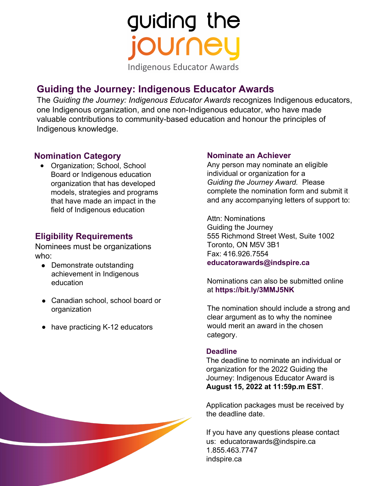guiding the journe **Indigenous Educator Awards** 

# **Guiding the Journey: Indigenous Educator Awards**

The *Guiding the Journey: Indigenous Educator Awards* recognizes Indigenous educators, one Indigenous organization, and one non-Indigenous educator, who have made valuable contributions to community-based education and honour the principles of Indigenous knowledge.

## **Nomination Category**

• Organization; School, School Board or Indigenous education organization that has developed models, strategies and programs that have made an impact in the field of Indigenous education

# **Eligibility Requirements**

Nominees must be organizations who:

- Demonstrate outstanding achievement in Indigenous education
- Canadian school, school board or organization
- have practicing K-12 educators •

### **Nominate an Achiever**

Any person may nominate an eligible individual or organization for a *Guiding the Journey Award.* Please complete the nomination form and submit it and any accompanying letters of support to:

Attn: Nominations Guiding the Journey 555 Richmond Street West, Suite 1002 Toronto, ON M5V 3B1 Fax: 416.926.7554 **educatorawards@indspire.ca**

Nominations can also be submitted online at **[https://bit.ly/3MMJ5NK](Nominations can also be submitted online at https://bit.ly/3MMJ5NK)**

The nomination should include a strong and clear argument as to why the nominee would merit an award in the chosen category.

### **Deadline**

The deadline to nominate an individual or organization for the 2022 Guiding the Journey: Indigenous Educator Award is **August 15, 2022 at 11:59p.m EST**.

Application packages must be received by the deadline date.

If you have any questions please contact us: educatorawards@indspire.ca 1.855.463.7747 indspire.ca

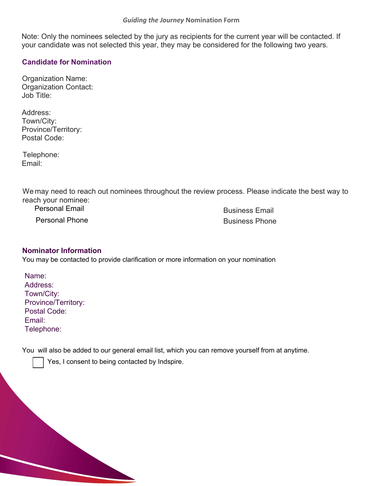Note: Only the nominees selected by the jury as recipients for the current year will be contacted. If your candidate was not selected this year, they may be considered for the following two years*.*

#### **Candidate for Nomination**

Organization Name: Organization Contact: Job Title:

Address: Town/City: Province/Territory: Postal Code:

Telephone: Email:

We may need to reach out nominees throughout the review process. Please indicate the best way to reach your nominee:

Personal Email

Personal Phone

Business Email Business Phone

#### **Nominator Information**

You may be contacted to provide clarification or more information on your nomination

| Name:               |
|---------------------|
| Address:            |
| Town/City:          |
| Province/Territory: |
| Postal Code:        |
| Email:              |
| Telephone:          |

You will also be added to our general email list, which you can remove yourself from at anytime.

Yes, I consent to being contacted by Indspire.